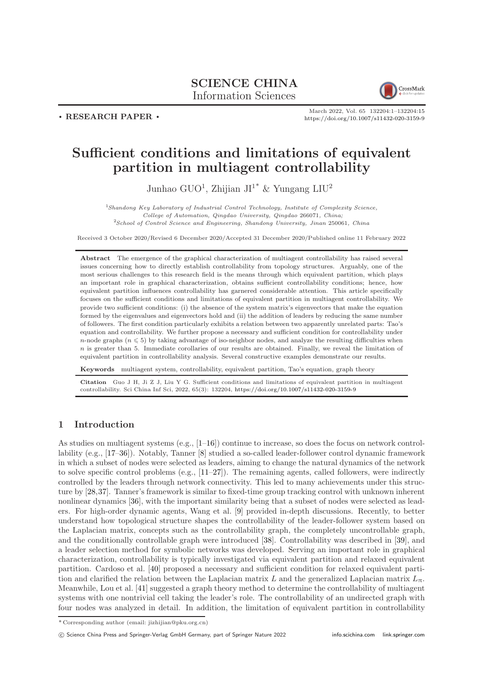## SCIENCE CHINA Information Sciences



. RESEARCH PAPER .

March 2022, Vol. 65 132204:1–132204[:15](#page-14-0) <https://doi.org/10.1007/s11432-020-3159-9>

# Sufficient conditions and limitations of equivalent partition in multiagent controllability

Junhao GUO<sup>1</sup>, Zhijian JI<sup>1\*</sup> & Yungang LIU<sup>2</sup>

<sup>1</sup>Shandong Key Laboratory of Industrial Control Technology, Institute of Complexity Science, College of Automation, Qingdao University, Qingdao 266071, China; <sup>2</sup>School of Control Science and Engineering, Shandong University, Jinan 250061, China

Received 3 October 2020/Revised 6 December 2020/Accepted 31 December 2020/Published online 11 February 2022

Abstract The emergence of the graphical characterization of multiagent controllability has raised several issues concerning how to directly establish controllability from topology structures. Arguably, one of the most serious challenges to this research field is the means through which equivalent partition, which plays an important role in graphical characterization, obtains sufficient controllability conditions; hence, how equivalent partition influences controllability has garnered considerable attention. This article specifically focuses on the sufficient conditions and limitations of equivalent partition in multiagent controllability. We provide two sufficient conditions: (i) the absence of the system matrix's eigenvectors that make the equation formed by the eigenvalues and eigenvectors hold and (ii) the addition of leaders by reducing the same number of followers. The first condition particularly exhibits a relation between two apparently unrelated parts: Tao's equation and controllability. We further propose a necessary and sufficient condition for controllability under n-node graphs ( $n \leq 5$ ) by taking advantage of iso-neighbor nodes, and analyze the resulting difficulties when  $n$  is greater than 5. Immediate corollaries of our results are obtained. Finally, we reveal the limitation of equivalent partition in controllability analysis. Several constructive examples demonstrate our results.

Keywords multiagent system, controllability, equivalent partition, Tao's equation, graph theory

Citation Guo J H, Ji Z J, Liu Y G. Sufficient conditions and limitations of equivalent partition in multiagent controllability. Sci China Inf Sci, 2022, 65(3): 132204, <https://doi.org/10.1007/s11432-020-3159-9>

## 1 Introduction

As studies on multiagent systems  $(e.g., [1-16])$  $(e.g., [1-16])$  $(e.g., [1-16])$  continue to increase, so does the focus on network controllability (e.g., [\[17–](#page-13-2)[36\]](#page-14-1)). Notably, Tanner [\[8\]](#page-13-3) studied a so-called leader-follower control dynamic framework in which a subset of nodes were selected as leaders, aiming to change the natural dynamics of the network to solve specific control problems (e.g., [\[11](#page-13-4)[–27\]](#page-14-2)). The remaining agents, called followers, were indirectly controlled by the leaders through network connectivity. This led to many achievements under this structure by [\[28,](#page-14-3)[37\]](#page-14-4). Tanner's framework is similar to fixed-time group tracking control with unknown inherent nonlinear dynamics [\[36\]](#page-14-1), with the important similarity being that a subset of nodes were selected as leaders. For high-order dynamic agents, Wang et al. [\[9\]](#page-13-5) provided in-depth discussions. Recently, to better understand how topological structure shapes the controllability of the leader-follower system based on the Laplacian matrix, concepts such as the controllability graph, the completely uncontrollable graph, and the conditionally controllable graph were introduced [\[38\]](#page-14-5). Controllability was described in [\[39\]](#page-14-6), and a leader selection method for symbolic networks was developed. Serving an important role in graphical characterization, controllability is typically investigated via equivalent partition and relaxed equivalent partition. Cardoso et al. [\[40\]](#page-14-7) proposed a necessary and sufficient condition for relaxed equivalent partition and clarified the relation between the Laplacian matrix L and the generalized Laplacian matrix  $L_{\pi}$ . Meanwhile, Lou et al. [\[41\]](#page-14-8) suggested a graph theory method to determine the controllability of multiagent systems with one nontrivial cell taking the leader's role. The controllability of an undirected graph with four nodes was analyzed in detail. In addition, the limitation of equivalent partition in controllability

<sup>\*</sup> Corresponding author (email: jizhijian@pku.org.cn)

c Science China Press and Springer-Verlag GmbH Germany, part of Springer Nature 2022 <info.scichina.com><link.springer.com>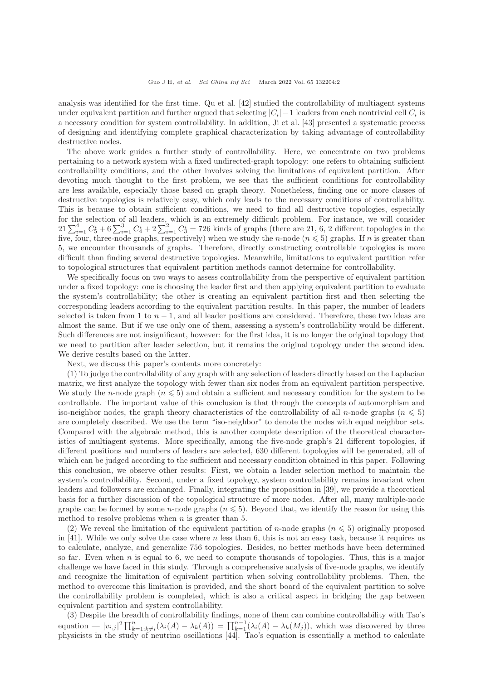analysis was identified for the first time. Qu et al. [\[42\]](#page-14-9) studied the controllability of multiagent systems under equivalent partition and further argued that selecting  $|C_i| - 1$  leaders from each nontrivial cell  $C_i$  is a necessary condition for system controllability. In addition, Ji et al. [\[43\]](#page-14-10) presented a systematic process of designing and identifying complete graphical characterization by taking advantage of controllability destructive nodes.

The above work guides a further study of controllability. Here, we concentrate on two problems pertaining to a network system with a fixed undirected-graph topology: one refers to obtaining sufficient controllability conditions, and the other involves solving the limitations of equivalent partition. After devoting much thought to the first problem, we see that the sufficient conditions for controllability are less available, especially those based on graph theory. Nonetheless, finding one or more classes of destructive topologies is relatively easy, which only leads to the necessary conditions of controllability. This is because to obtain sufficient conditions, we need to find all destructive topologies, especially for the selection of all leaders, which is an extremely difficult problem. For instance, we will consider  $21\sum_{i=1}^{4}C_5^i + 6\sum_{i=1}^{3}C_4^i + 2\sum_{i=1}^{2}C_3^i = 726$  kinds of graphs (there are 21, 6, 2 different topologies in the five, four, three-node graphs, respectively) when we study the *n*-node ( $n \leq 5$ ) graphs. If *n* is greater than 5, we encounter thousands of graphs. Therefore, directly constructing controllable topologies is more difficult than finding several destructive topologies. Meanwhile, limitations to equivalent partition refer to topological structures that equivalent partition methods cannot determine for controllability.

We specifically focus on two ways to assess controllability from the perspective of equivalent partition under a fixed topology: one is choosing the leader first and then applying equivalent partition to evaluate the system's controllability; the other is creating an equivalent partition first and then selecting the corresponding leaders according to the equivalent partition results. In this paper, the number of leaders selected is taken from 1 to  $n-1$ , and all leader positions are considered. Therefore, these two ideas are almost the same. But if we use only one of them, assessing a system's controllability would be different. Such differences are not insignificant, however: for the first idea, it is no longer the original topology that we need to partition after leader selection, but it remains the original topology under the second idea. We derive results based on the latter.

Next, we discuss this paper's contents more concretely:

(1) To judge the controllability of any graph with any selection of leaders directly based on the Laplacian matrix, we first analyze the topology with fewer than six nodes from an equivalent partition perspective. We study the n-node graph ( $n \leq 5$ ) and obtain a sufficient and necessary condition for the system to be controllable. The important value of this conclusion is that through the concepts of automorphism and iso-neighbor nodes, the graph theory characteristics of the controllability of all n-node graphs ( $n \leq 5$ ) are completely described. We use the term "iso-neighbor" to denote the nodes with equal neighbor sets. Compared with the algebraic method, this is another complete description of the theoretical characteristics of multiagent systems. More specifically, among the five-node graph's 21 different topologies, if different positions and numbers of leaders are selected, 630 different topologies will be generated, all of which can be judged according to the sufficient and necessary condition obtained in this paper. Following this conclusion, we observe other results: First, we obtain a leader selection method to maintain the system's controllability. Second, under a fixed topology, system controllability remains invariant when leaders and followers are exchanged. Finally, integrating the proposition in [\[39\]](#page-14-6), we provide a theoretical basis for a further discussion of the topological structure of more nodes. After all, many multiple-node graphs can be formed by some *n*-node graphs ( $n \leq 5$ ). Beyond that, we identify the reason for using this method to resolve problems when  $n$  is greater than 5.

(2) We reveal the limitation of the equivalent partition of n-node graphs  $(n \leq 5)$  originally proposed in [\[41\]](#page-14-8). While we only solve the case where n less than 6, this is not an easy task, because it requires us to calculate, analyze, and generalize 756 topologies. Besides, no better methods have been determined so far. Even when  $n$  is equal to 6, we need to compute thousands of topologies. Thus, this is a major challenge we have faced in this study. Through a comprehensive analysis of five-node graphs, we identify and recognize the limitation of equivalent partition when solving controllability problems. Then, the method to overcome this limitation is provided, and the short board of the equivalent partition to solve the controllability problem is completed, which is also a critical aspect in bridging the gap between equivalent partition and system controllability.

(3) Despite the breadth of controllability findings, none of them can combine controllability with Tao's equation  $- |v_{i,j}|^2 \prod_{k=1; k \neq i}^n (\lambda_i(A) - \lambda_k(A)) = \prod_{k=1}^{n-1} (\lambda_i(A) - \lambda_k(M_j))$ , which was discovered by three physicists in the study of neutrino oscillations [\[44\]](#page-14-11). Tao's equation is essentially a method to calculate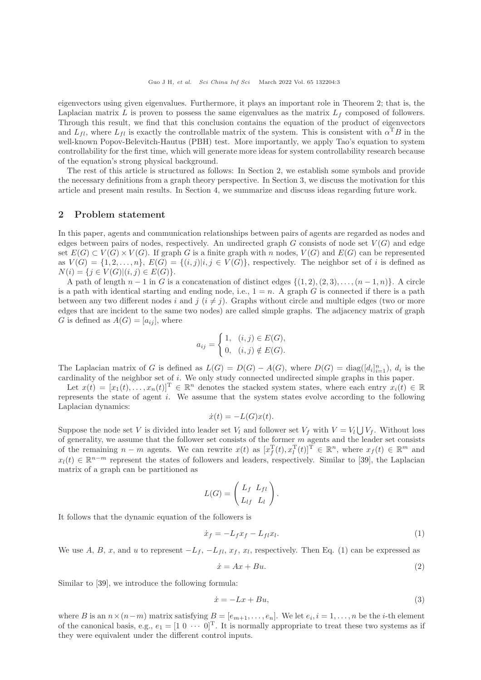eigenvectors using given eigenvalues. Furthermore, it plays an important role in Theorem 2; that is, the Laplacian matrix L is proven to possess the same eigenvalues as the matrix  $L_f$  composed of followers. Through this result, we find that this conclusion contains the equation of the product of eigenvectors and  $L_{fl}$ , where  $L_{fl}$  is exactly the controllable matrix of the system. This is consistent with  $\alpha^T B$  in the well-known Popov-Belevitch-Hautus (PBH) test. More importantly, we apply Tao's equation to system controllability for the first time, which will generate more ideas for system controllability research because of the equation's strong physical background.

The rest of this article is structured as follows: In Section 2, we establish some symbols and provide the necessary definitions from a graph theory perspective. In Section 3, we discuss the motivation for this article and present main results. In Section 4, we summarize and discuss ideas regarding future work.

#### 2 Problem statement

In this paper, agents and communication relationships between pairs of agents are regarded as nodes and edges between pairs of nodes, respectively. An undirected graph  $G$  consists of node set  $V(G)$  and edge set  $E(G) \subset V(G) \times V(G)$ . If graph G is a finite graph with n nodes,  $V(G)$  and  $E(G)$  can be represented as  $V(G) = \{1, 2, \ldots, n\}, E(G) = \{(i, j)|i, j \in V(G)\}$ , respectively. The neighbor set of i is defined as  $N(i) = \{j \in V(G) | (i, j) \in E(G) \}.$ 

A path of length  $n-1$  in G is a concatenation of distinct edges  $\{(1, 2), (2, 3), \ldots, (n-1, n)\}\.$  A circle is a path with identical starting and ending node, i.e.,  $1 = n$ . A graph G is connected if there is a path between any two different nodes i and j  $(i \neq j)$ . Graphs without circle and multiple edges (two or more edges that are incident to the same two nodes) are called simple graphs. The adjacency matrix of graph G is defined as  $A(G) = [a_{ij}]$ , where

$$
a_{ij} = \begin{cases} 1, & (i,j) \in E(G), \\ 0, & (i,j) \notin E(G). \end{cases}
$$

The Laplacian matrix of G is defined as  $L(G) = D(G) - A(G)$ , where  $D(G) = \text{diag}([d_i]_{i=1}^n)$ ,  $d_i$  is the cardinality of the neighbor set of i. We only study connected undirected simple graphs in this paper.

Let  $x(t) = [x_1(t), \ldots, x_n(t)]^T \in \mathbb{R}^n$  denotes the stacked system states, where each entry  $x_i(t) \in \mathbb{R}$ represents the state of agent i. We assume that the system states evolve according to the following Laplacian dynamics:

$$
\dot{x}(t) = -L(G)x(t).
$$

Suppose the node set V is divided into leader set  $V_l$  and follower set  $V_f$  with  $V = V_l \bigcup V_f$ . Without loss of generality, we assume that the follower set consists of the former  $m$  agents and the leader set consists of the remaining  $n - m$  agents. We can rewrite  $x(t)$  as  $[x_f^T(t), x_l^T(t)]^T \in \mathbb{R}^n$ , where  $x_f(t) \in \mathbb{R}^m$  and  $x_l(t) \in \mathbb{R}^{n-m}$  represent the states of followers and leaders, respectively. Similar to [\[39\]](#page-14-6), the Laplacian matrix of a graph can be partitioned as

$$
L(G) = \begin{pmatrix} L_f & L_{fl} \\ L_{lf} & L_l \end{pmatrix}.
$$

It follows that the dynamic equation of the followers is

$$
\dot{x}_f = -L_f x_f - L_{fl} x_l. \tag{1}
$$

We use A, B, x, and u to represent  $-L_f$ ,  $-L_{fl}$ ,  $x_f$ ,  $x_l$ , respectively. Then Eq. (1) can be expressed as

$$
\dot{x} = Ax + Bu.
$$
\n<sup>(2)</sup>

Similar to [\[39\]](#page-14-6), we introduce the following formula:

$$
\dot{x} = -Lx + Bu,\tag{3}
$$

where B is an  $n \times (n-m)$  matrix satisfying  $B = [e_{m+1}, \ldots, e_n]$ . We let  $e_i, i = 1, \ldots, n$  be the *i*-th element of the canonical basis, e.g.,  $e_1 = [1 \ 0 \ \cdots \ 0]^T$ . It is normally appropriate to treat these two systems as if they were equivalent under the different control inputs.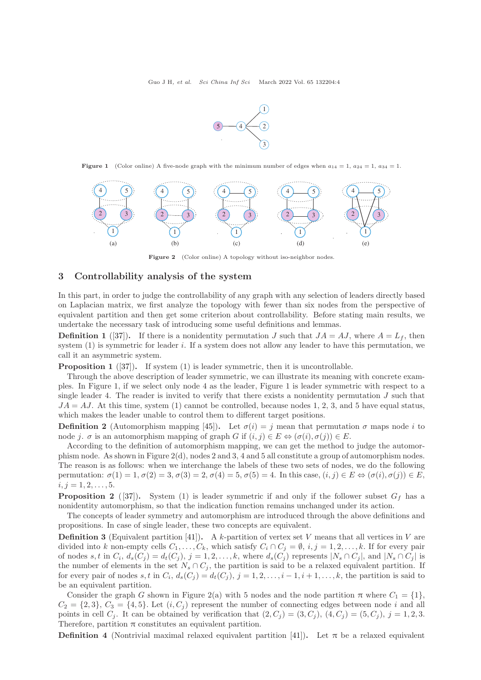

**Figure 1** (Color online) A five-node graph with the minimum number of edges when  $a_{14} = 1$ ,  $a_{24} = 1$ ,  $a_{34} = 1$ .



Figure 2 (Color online) A topology without iso-neighbor nodes.

#### 3 Controllability analysis of the system

In this part, in order to judge the controllability of any graph with any selection of leaders directly based on Laplacian matrix, we first analyze the topology with fewer than six nodes from the perspective of equivalent partition and then get some criterion about controllability. Before stating main results, we undertake the necessary task of introducing some useful definitions and lemmas.

**Definition 1** ([\[37\]](#page-14-4)). If there is a nonidentity permutation J such that  $JA = AJ$ , where  $A = L_f$ , then system (1) is symmetric for leader i. If a system does not allow any leader to have this permutation, we call it an asymmetric system.

**Proposition 1** ([\[37\]](#page-14-4)). If system (1) is leader symmetric, then it is uncontrollable.

Through the above description of leader symmetric, we can illustrate its meaning with concrete examples. In Figure 1, if we select only node 4 as the leader, Figure 1 is leader symmetric with respect to a single leader 4. The reader is invited to verify that there exists a nonidentity permutation  $J$  such that  $JA = AJ$ . At this time, system (1) cannot be controlled, because nodes 1, 2, 3, and 5 have equal status, which makes the leader unable to control them to different target positions.

**Definition 2** (Automorphism mapping [\[45\]](#page-14-12)). Let  $\sigma(i) = j$  mean that permutation  $\sigma$  maps node i to node j.  $\sigma$  is an automorphism mapping of graph G if  $(i, j) \in E \Leftrightarrow (\sigma(i), \sigma(j)) \in E$ .

According to the definition of automorphism mapping, we can get the method to judge the automorphism node. As shown in Figure  $2(d)$ , nodes 2 and 3, 4 and 5 all constitute a group of automorphism nodes. The reason is as follows: when we interchange the labels of these two sets of nodes, we do the following permutation:  $\sigma(1) = 1$ ,  $\sigma(2) = 3$ ,  $\sigma(3) = 2$ ,  $\sigma(4) = 5$ ,  $\sigma(5) = 4$ . In this case,  $(i, j) \in E \Leftrightarrow (\sigma(i), \sigma(j)) \in E$ ,  $i, j = 1, 2, \ldots, 5.$ 

**Proposition 2** ([\[37\]](#page-14-4)). System (1) is leader symmetric if and only if the follower subset  $G_f$  has a nonidentity automorphism, so that the indication function remains unchanged under its action.

The concepts of leader symmetry and automorphism are introduced through the above definitions and propositions. In case of single leader, these two concepts are equivalent.

**Definition 3** (Equivalent partition [\[41\]](#page-14-8)). A k-partition of vertex set V means that all vertices in V are divided into k non-empty cells  $C_1, \ldots, C_k$ , which satisfy  $C_i \cap C_j = \emptyset$ ,  $i, j = 1, 2, \ldots, k$ . If for every pair of nodes s, t in  $C_i$ ,  $d_s(C_j) = d_t(C_j)$ ,  $j = 1, 2, ..., k$ , where  $d_s(C_j)$  represents  $|N_s \cap C_j|$ , and  $|N_s \cap C_j|$  is the number of elements in the set  $N_s \cap C_j$ , the partition is said to be a relaxed equivalent partition. If for every pair of nodes s, t in  $C_i$ ,  $d_s(C_j) = d_t(C_j)$ ,  $j = 1, 2, \ldots, i-1, i+1, \ldots, k$ , the partition is said to be an equivalent partition.

Consider the graph G shown in Figure 2(a) with 5 nodes and the node partition  $\pi$  where  $C_1 = \{1\}$ ,  $C_2 = \{2,3\}, C_3 = \{4,5\}.$  Let  $(i, C_j)$  represent the number of connecting edges between node i and all points in cell  $C_j$ . It can be obtained by verification that  $(2, C_j) = (3, C_j)$ ,  $(4, C_j) = (5, C_j)$ ,  $j = 1, 2, 3$ . Therefore, partition  $\pi$  constitutes an equivalent partition.

**Definition 4** (Nontrivial maximal relaxed equivalent partition [\[41\]](#page-14-8)). Let  $\pi$  be a relaxed equivalent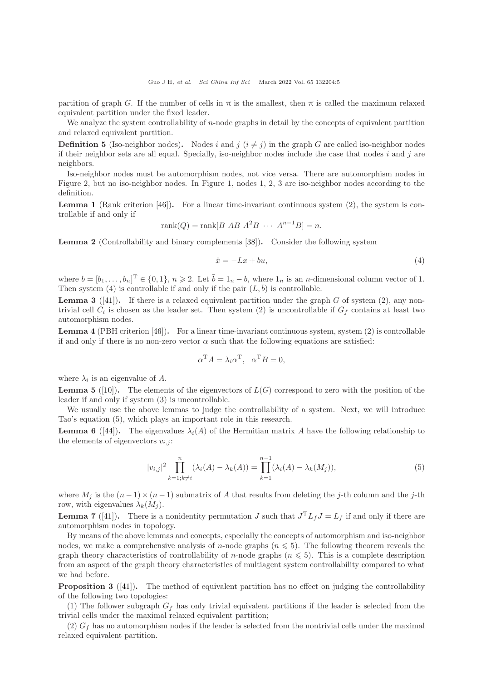partition of graph G. If the number of cells in  $\pi$  is the smallest, then  $\pi$  is called the maximum relaxed equivalent partition under the fixed leader.

We analyze the system controllability of  $n$ -node graphs in detail by the concepts of equivalent partition and relaxed equivalent partition.

**Definition 5** (Iso-neighbor nodes). Nodes i and j  $(i \neq j)$  in the graph G are called iso-neighbor nodes if their neighbor sets are all equal. Specially, iso-neighbor nodes include the case that nodes  $i$  and  $j$  are neighbors.

Iso-neighbor nodes must be automorphism nodes, not vice versa. There are automorphism nodes in Figure 2, but no iso-neighbor nodes. In Figure 1, nodes 1, 2, 3 are iso-neighbor nodes according to the definition.

**Lemma 1** (Rank criterion [\[46\]](#page-14-13)). For a linear time-invariant continuous system  $(2)$ , the system is controllable if and only if

$$
rank(Q) = rank[B AB A2B ... An-1B] = n.
$$

Lemma 2 (Controllability and binary complements [\[38\]](#page-14-5)). Consider the following system

$$
\dot{x} = -Lx + bu,\tag{4}
$$

where  $b = [b_1, \ldots, b_n]^T \in \{0, 1\}, n \ge 2$ . Let  $\overline{b} = 1_n - b$ , where  $1_n$  is an *n*-dimensional column vector of 1. Then system (4) is controllable if and only if the pair  $(L, \bar{b})$  is controllable.

**Lemma 3** ([\[41\]](#page-14-8)). If there is a relaxed equivalent partition under the graph G of system (2), any nontrivial cell  $C_i$  is chosen as the leader set. Then system (2) is uncontrollable if  $G_f$  contains at least two automorphism nodes.

Lemma 4 (PBH criterion [\[46\]](#page-14-13)). For a linear time-invariant continuous system, system (2) is controllable if and only if there is no non-zero vector  $\alpha$  such that the following equations are satisfied:

$$
\alpha^{\mathrm{T}} A = \lambda_i \alpha^{\mathrm{T}}, \ \alpha^{\mathrm{T}} B = 0,
$$

where  $\lambda_i$  is an eigenvalue of A.

**Lemma 5** ([\[10\]](#page-13-6)). The elements of the eigenvectors of  $L(G)$  correspond to zero with the position of the leader if and only if system (3) is uncontrollable.

We usually use the above lemmas to judge the controllability of a system. Next, we will introduce Tao's equation (5), which plays an important role in this research.

**Lemma 6** ([\[44\]](#page-14-11)). The eigenvalues  $\lambda_i(A)$  of the Hermitian matrix A have the following relationship to the elements of eigenvectors  $v_{i,j}$ :

$$
|v_{i,j}|^2 \prod_{k=1;k\neq i}^n (\lambda_i(A) - \lambda_k(A)) = \prod_{k=1}^{n-1} (\lambda_i(A) - \lambda_k(M_j)),
$$
\n(5)

where  $M_i$  is the  $(n-1) \times (n-1)$  submatrix of A that results from deleting the j-th column and the j-th row, with eigenvalues  $\lambda_k(M_i)$ .

**Lemma 7** ([\[41\]](#page-14-8)). There is a nonidentity permutation J such that  $J^T L_f J = L_f$  if and only if there are automorphism nodes in topology.

By means of the above lemmas and concepts, especially the concepts of automorphism and iso-neighbor nodes, we make a comprehensive analysis of *n*-node graphs ( $n \leq 5$ ). The following theorem reveals the graph theory characteristics of controllability of n-node graphs  $(n \leq 5)$ . This is a complete description from an aspect of the graph theory characteristics of multiagent system controllability compared to what we had before.

**Proposition 3** ([\[41\]](#page-14-8)). The method of equivalent partition has no effect on judging the controllability of the following two topologies:

(1) The follower subgraph  $G_f$  has only trivial equivalent partitions if the leader is selected from the trivial cells under the maximal relaxed equivalent partition;

 $(2)$   $G<sub>f</sub>$  has no automorphism nodes if the leader is selected from the nontrivial cells under the maximal relaxed equivalent partition.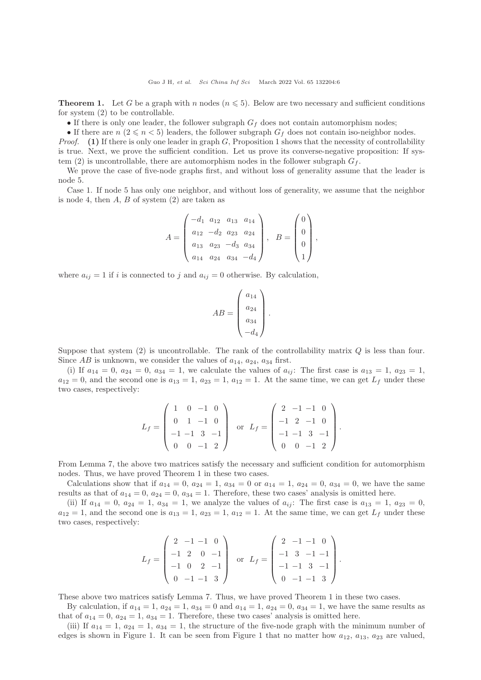**Theorem 1.** Let G be a graph with n nodes  $(n \leq 5)$ . Below are two necessary and sufficient conditions for system (2) to be controllable.

• If there is only one leader, the follower subgraph  $G_f$  does not contain automorphism nodes;

• If there are  $n$  ( $2 \le n < 5$ ) leaders, the follower subgraph  $G_f$  does not contain iso-neighbor nodes.

*Proof.* (1) If there is only one leader in graph  $G$ , Proposition 1 shows that the necessity of controllability is true. Next, we prove the sufficient condition. Let us prove its converse-negative proposition: If system (2) is uncontrollable, there are automorphism nodes in the follower subgraph  $G_f$ .

We prove the case of five-node graphs first, and without loss of generality assume that the leader is node 5.

Case 1. If node 5 has only one neighbor, and without loss of generality, we assume that the neighbor is node 4, then  $A, B$  of system  $(2)$  are taken as

$$
A = \begin{pmatrix} -d_1 & a_{12} & a_{13} & a_{14} \\ a_{12} & -d_2 & a_{23} & a_{24} \\ a_{13} & a_{23} & -d_3 & a_{34} \\ a_{14} & a_{24} & a_{34} & -d_4 \end{pmatrix}, \quad B = \begin{pmatrix} 0 \\ 0 \\ 0 \\ 1 \end{pmatrix},
$$

where  $a_{ij} = 1$  if i is connected to j and  $a_{ij} = 0$  otherwise. By calculation,

$$
AB = \begin{pmatrix} a_{14} \\ a_{24} \\ a_{34} \\ -d_4 \end{pmatrix}.
$$

Suppose that system  $(2)$  is uncontrollable. The rank of the controllability matrix Q is less than four. Since  $AB$  is unknown, we consider the values of  $a_{14}$ ,  $a_{24}$ ,  $a_{34}$  first.

(i) If  $a_{14} = 0$ ,  $a_{24} = 0$ ,  $a_{34} = 1$ , we calculate the values of  $a_{ij}$ : The first case is  $a_{13} = 1$ ,  $a_{23} = 1$ ,  $a_{12} = 0$ , and the second one is  $a_{13} = 1$ ,  $a_{23} = 1$ ,  $a_{12} = 1$ . At the same time, we can get  $L_f$  under these two cases, respectively:

$$
L_f = \begin{pmatrix} 1 & 0 & -1 & 0 \\ 0 & 1 & -1 & 0 \\ -1 & -1 & 3 & -1 \\ 0 & 0 & -1 & 2 \end{pmatrix} \text{ or } L_f = \begin{pmatrix} 2 & -1 & -1 & 0 \\ -1 & 2 & -1 & 0 \\ -1 & -1 & 3 & -1 \\ 0 & 0 & -1 & 2 \end{pmatrix}.
$$

From Lemma 7, the above two matrices satisfy the necessary and sufficient condition for automorphism nodes. Thus, we have proved Theorem 1 in these two cases.

Calculations show that if  $a_{14} = 0$ ,  $a_{24} = 1$ ,  $a_{34} = 0$  or  $a_{14} = 1$ ,  $a_{24} = 0$ ,  $a_{34} = 0$ , we have the same results as that of  $a_{14} = 0$ ,  $a_{24} = 0$ ,  $a_{34} = 1$ . Therefore, these two cases' analysis is omitted here.

(ii) If  $a_{14} = 0$ ,  $a_{24} = 1$ ,  $a_{34} = 1$ , we analyze the values of  $a_{ij}$ : The first case is  $a_{13} = 1$ ,  $a_{23} = 0$ ,  $a_{12} = 1$ , and the second one is  $a_{13} = 1$ ,  $a_{23} = 1$ ,  $a_{12} = 1$ . At the same time, we can get  $L_f$  under these two cases, respectively:

$$
L_f = \begin{pmatrix} 2 & -1 & -1 & 0 \\ -1 & 2 & 0 & -1 \\ -1 & 0 & 2 & -1 \\ 0 & -1 & -1 & 3 \end{pmatrix} \text{ or } L_f = \begin{pmatrix} 2 & -1 & -1 & 0 \\ -1 & 3 & -1 & -1 \\ -1 & -1 & 3 & -1 \\ 0 & -1 & -1 & 3 \end{pmatrix}.
$$

These above two matrices satisfy Lemma 7. Thus, we have proved Theorem 1 in these two cases.

By calculation, if  $a_{14} = 1$ ,  $a_{24} = 1$ ,  $a_{34} = 0$  and  $a_{14} = 1$ ,  $a_{24} = 0$ ,  $a_{34} = 1$ , we have the same results as that of  $a_{14} = 0$ ,  $a_{24} = 1$ ,  $a_{34} = 1$ . Therefore, these two cases' analysis is omitted here.

(iii) If  $a_{14} = 1$ ,  $a_{24} = 1$ ,  $a_{34} = 1$ , the structure of the five-node graph with the minimum number of edges is shown in Figure 1. It can be seen from Figure 1 that no matter how  $a_{12}$ ,  $a_{13}$ ,  $a_{23}$  are valued,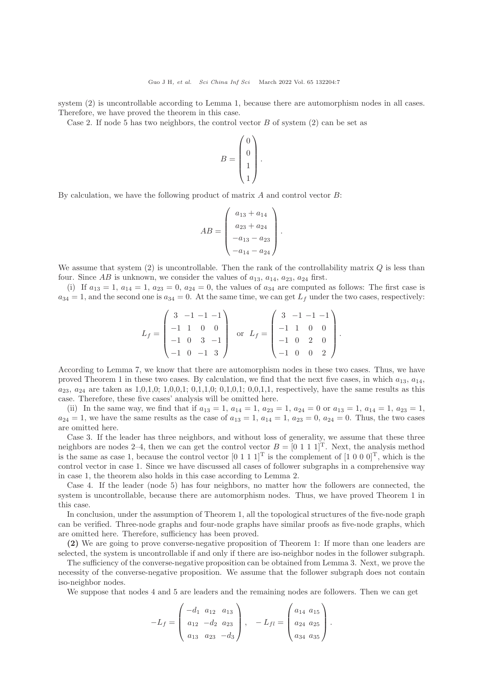system (2) is uncontrollable according to Lemma 1, because there are automorphism nodes in all cases. Therefore, we have proved the theorem in this case.

Case 2. If node 5 has two neighbors, the control vector  $B$  of system (2) can be set as

$$
B = \begin{pmatrix} 0 \\ 0 \\ 1 \\ 1 \end{pmatrix}.
$$

By calculation, we have the following product of matrix  $A$  and control vector  $B$ :

$$
AB = \begin{pmatrix} a_{13} + a_{14} \\ a_{23} + a_{24} \\ -a_{13} - a_{23} \\ -a_{14} - a_{24} \end{pmatrix}.
$$

We assume that system  $(2)$  is uncontrollable. Then the rank of the controllability matrix  $Q$  is less than four. Since AB is unknown, we consider the values of  $a_{13}$ ,  $a_{14}$ ,  $a_{23}$ ,  $a_{24}$  first.

(i) If  $a_{13} = 1, a_{14} = 1, a_{23} = 0, a_{24} = 0$ , the values of  $a_{34}$  are computed as follows: The first case is  $a_{34} = 1$ , and the second one is  $a_{34} = 0$ . At the same time, we can get  $L_f$  under the two cases, respectively:

$$
L_f = \begin{pmatrix} 3 & -1 & -1 & -1 \\ -1 & 1 & 0 & 0 \\ -1 & 0 & 3 & -1 \\ -1 & 0 & -1 & 3 \end{pmatrix} \text{ or } L_f = \begin{pmatrix} 3 & -1 & -1 & -1 \\ -1 & 1 & 0 & 0 \\ -1 & 0 & 2 & 0 \\ -1 & 0 & 0 & 2 \end{pmatrix}.
$$

According to Lemma 7, we know that there are automorphism nodes in these two cases. Thus, we have proved Theorem 1 in these two cases. By calculation, we find that the next five cases, in which  $a_{13}$ ,  $a_{14}$ ,  $a_{23}, a_{24}$  are taken as 1,0,1,0; 1,0,0,1; 0,1,1,0; 0,1,0,1; 0,0,1,1, respectively, have the same results as this case. Therefore, these five cases' analysis will be omitted here.

(ii) In the same way, we find that if  $a_{13} = 1$ ,  $a_{14} = 1$ ,  $a_{23} = 1$ ,  $a_{24} = 0$  or  $a_{13} = 1$ ,  $a_{14} = 1$ ,  $a_{23} = 1$ ,  $a_{24} = 1$ , we have the same results as the case of  $a_{13} = 1$ ,  $a_{14} = 1$ ,  $a_{23} = 0$ ,  $a_{24} = 0$ . Thus, the two cases are omitted here.

Case 3. If the leader has three neighbors, and without loss of generality, we assume that these three neighbors are nodes 2–4, then we can get the control vector  $B = [0 \ 1 \ 1 \ 1]^T$ . Next, the analysis method is the same as case 1, because the control vector  $[0 \ 1 \ 1 \ 1]^T$  is the complement of  $[1 \ 0 \ 0 \ 0]^T$ , which is the control vector in case 1. Since we have discussed all cases of follower subgraphs in a comprehensive way in case 1, the theorem also holds in this case according to Lemma 2.

Case 4. If the leader (node 5) has four neighbors, no matter how the followers are connected, the system is uncontrollable, because there are automorphism nodes. Thus, we have proved Theorem 1 in this case.

In conclusion, under the assumption of Theorem 1, all the topological structures of the five-node graph can be verified. Three-node graphs and four-node graphs have similar proofs as five-node graphs, which are omitted here. Therefore, sufficiency has been proved.

(2) We are going to prove converse-negative proposition of Theorem 1: If more than one leaders are selected, the system is uncontrollable if and only if there are iso-neighbor nodes in the follower subgraph.

The sufficiency of the converse-negative proposition can be obtained from Lemma 3. Next, we prove the necessity of the converse-negative proposition. We assume that the follower subgraph does not contain iso-neighbor nodes.

We suppose that nodes 4 and 5 are leaders and the remaining nodes are followers. Then we can get

$$
-L_f = \begin{pmatrix} -d_1 & a_{12} & a_{13} \\ a_{12} & -d_2 & a_{23} \\ a_{13} & a_{23} & -d_3 \end{pmatrix}, \quad -L_{fl} = \begin{pmatrix} a_{14} & a_{15} \\ a_{24} & a_{25} \\ a_{34} & a_{35} \end{pmatrix}.
$$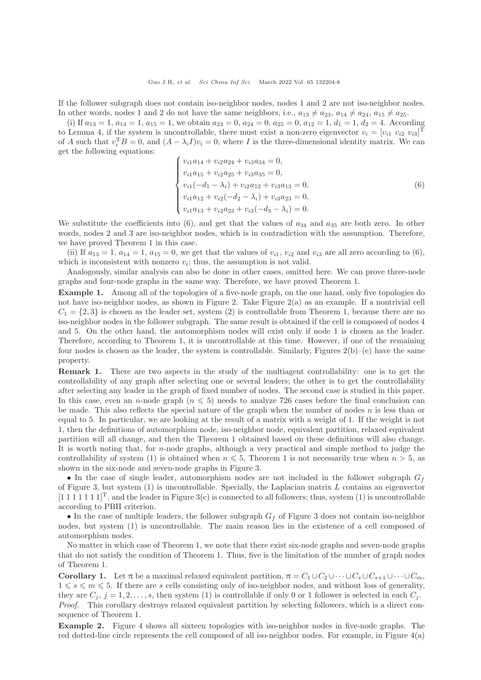If the follower subgraph does not contain iso-neighbor nodes, nodes 1 and 2 are not iso-neighbor nodes. In other words, nodes 1 and 2 do not have the same neighbors, i.e.,  $a_{13} \neq a_{23}$ ,  $a_{14} \neq a_{24}$ ,  $a_{15} \neq a_{25}$ .

(i) If  $a_{13} = 1$ ,  $a_{14} = 1$ ,  $a_{15} = 1$ , we obtain  $a_{23} = 0$ ,  $a_{24} = 0$ ,  $a_{25} = 0$ ,  $a_{12} = 1$ ,  $d_1 = 1$ ,  $d_2 = 4$ . According to Lemma 4, if the system is uncontrollable, there must exist a non-zero eigenvector  $v_i = [v_{i1} \ v_{i2} \ v_{i3}]^T$ of A such that  $v_i^T B = 0$ , and  $(A - \lambda_i I)v_i = 0$ , where I is the three-dimensional identity matrix. We can get the following equations:

$$
\begin{cases}\nv_{i1}a_{14} + v_{i2}a_{24} + v_{i3}a_{34} = 0, \\
v_{i1}a_{15} + v_{i2}a_{25} + v_{i3}a_{35} = 0, \\
v_{i1}(-d_{1} - \lambda_{i}) + v_{i2}a_{12} + v_{i3}a_{13} = 0, \\
v_{i1}a_{12} + v_{i2}(-d_{2} - \lambda_{i}) + v_{i3}a_{23} = 0, \\
v_{i1}a_{13} + v_{i2}a_{23} + v_{i3}(-d_{3} - \lambda_{i}) = 0.\n\end{cases}
$$
\n(6)

We substitute the coefficients into (6), and get that the values of  $a_{34}$  and  $a_{35}$  are both zero. In other words, nodes 2 and 3 are iso-neighbor nodes, which is in contradiction with the assumption. Therefore, we have proved Theorem 1 in this case.

(ii) If  $a_{13} = 1, a_{14} = 1, a_{15} = 0$ , we get that the values of  $v_{i1}$ ,  $v_{i2}$  and  $v_{i3}$  are all zero according to (6), which is inconsistent with nonzero  $v_i$ ; thus, the assumption is not valid.

Analogously, similar analysis can also be done in other cases, omitted here. We can prove three-node graphs and four-node graphs in the same way. Therefore, we have proved Theorem 1.

Example 1. Among all of the topologies of a five-node graph, on the one hand, only five topologies do not have iso-neighbor nodes, as shown in Figure 2. Take Figure 2(a) as an example. If a nontrivial cell  $C_1 = \{2,3\}$  is chosen as the leader set, system (2) is controllable from Theorem 1, because there are no iso-neighbor nodes in the follower subgraph. The same result is obtained if the cell is composed of nodes 4 and 5. On the other hand, the automorphism nodes will exist only if node 1 is chosen as the leader. Therefore, according to Theorem 1, it is uncontrollable at this time. However, if one of the remaining four nodes is chosen as the leader, the system is controllable. Similarly, Figures  $2(b)$ –(e) have the same property.

Remark 1. There are two aspects in the study of the multiagent controllability: one is to get the controllability of any graph after selecting one or several leaders; the other is to get the controllability after selecting any leader in the graph of fixed number of nodes. The second case is studied in this paper. In this case, even an n-node graph ( $n \leq 5$ ) needs to analyze 726 cases before the final conclusion can be made. This also reflects the special nature of the graph when the number of nodes  $n$  is less than or equal to 5. In particular, we are looking at the result of a matrix with a weight of 1. If the weight is not 1, then the definitions of automorphism node, iso-neighbor node, equivalent partition, relaxed equivalent partition will all change, and then the Theorem 1 obtained based on these definitions will also change. It is worth noting that, for n-node graphs, although a very practical and simple method to judge the controllability of system (1) is obtained when  $n \leq 5$ , Theorem 1 is not necessarily true when  $n > 5$ , as shown in the six-node and seven-node graphs in Figure 3.

• In the case of single leader, automorphism nodes are not included in the follower subgraph  $G_f$ of Figure 3, but system  $(1)$  is uncontrollable. Specially, the Laplacian matrix L contains an eigenvector  $[1\ 1\ 1\ 1\ 1\ 1]^T$ , and the leader in Figure 3(c) is connected to all followers; thus, system (1) is uncontrollable according to PBH criterion.

• In the case of multiple leaders, the follower subgraph  $G_f$  of Figure 3 does not contain iso-neighbor nodes, but system (1) is uncontrollable. The main reason lies in the existence of a cell composed of automorphism nodes.

No matter in which case of Theorem 1, we note that there exist six-node graphs and seven-node graphs that do not satisfy the condition of Theorem 1. Thus, five is the limitation of the number of graph nodes of Theorem 1.

**Corollary 1.** Let  $\pi$  be a maximal relaxed equivalent partition,  $\pi = C_1 \cup C_2 \cup \cdots \cup C_s \cup C_{s+1} \cup \cdots \cup C_m$  $1 \leq s \leq m \leq 5$ . If there are s cells consisting only of iso-neighbor nodes, and without loss of generality, they are  $C_j$ ,  $j = 1, 2, \ldots, s$ , then system (1) is controllable if only 0 or 1 follower is selected in each  $C_j$ . Proof. This corollary destroys relaxed equivalent partition by selecting followers, which is a direct consequence of Theorem 1.

Example 2. Figure 4 shows all sixteen topologies with iso-neighbor nodes in five-node graphs. The red dotted-line circle represents the cell composed of all iso-neighbor nodes. For example, in Figure 4(a)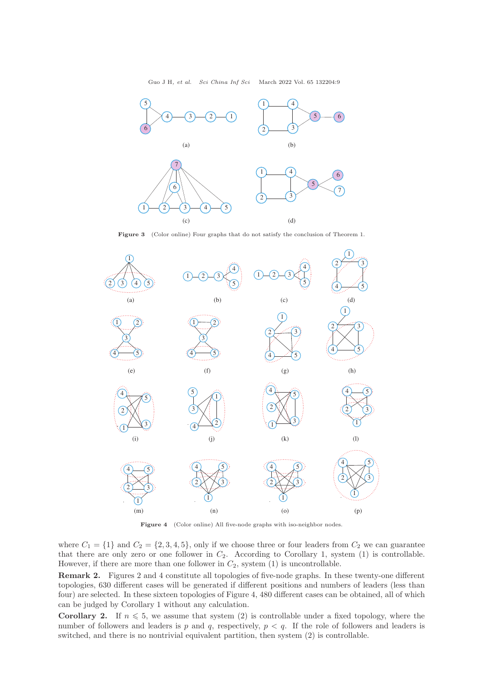

Figure 3 (Color online) Four graphs that do not satisfy the conclusion of Theorem 1.



Figure 4 (Color online) All five-node graphs with iso-neighbor nodes.

where  $C_1 = \{1\}$  and  $C_2 = \{2, 3, 4, 5\}$ , only if we choose three or four leaders from  $C_2$  we can guarantee that there are only zero or one follower in  $C_2$ . According to Corollary 1, system (1) is controllable. However, if there are more than one follower in  $C_2$ , system (1) is uncontrollable.

Remark 2. Figures 2 and 4 constitute all topologies of five-node graphs. In these twenty-one different topologies, 630 different cases will be generated if different positions and numbers of leaders (less than four) are selected. In these sixteen topologies of Figure 4, 480 different cases can be obtained, all of which can be judged by Corollary 1 without any calculation.

**Corollary 2.** If  $n \leq 5$ , we assume that system (2) is controllable under a fixed topology, where the number of followers and leaders is p and q, respectively,  $p < q$ . If the role of followers and leaders is switched, and there is no nontrivial equivalent partition, then system (2) is controllable.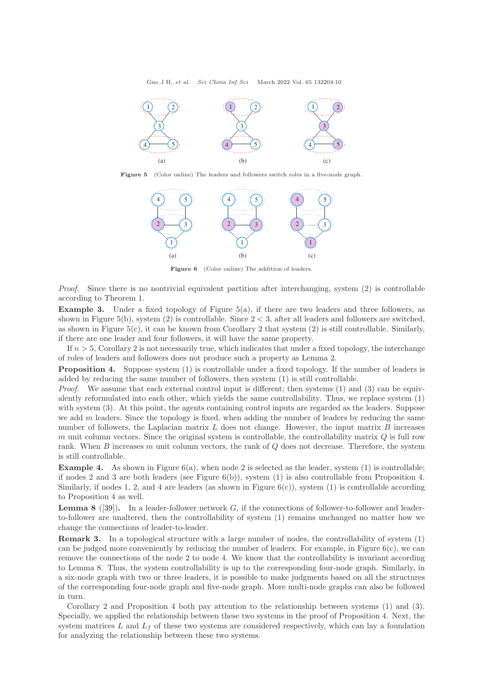

Figure 5 (Color online) The leaders and followers switch roles in a five-node graph.



Figure 6 (Color online) The addition of leaders.

Proof. Since there is no nontrivial equivalent partition after interchanging, system (2) is controllable according to Theorem 1.

Example 3. Under a fixed topology of Figure 5(a), if there are two leaders and three followers, as shown in Figure 5(b), system (2) is controllable. Since  $2 < 3$ , after all leaders and followers are switched, as shown in Figure  $5(c)$ , it can be known from Corollary 2 that system (2) is still controllable. Similarly, if there are one leader and four followers, it will have the same property.

If  $n > 5$ , Corollary 2 is not necessarily true, which indicates that under a fixed topology, the interchange of roles of leaders and followers does not produce such a property as Lemma 2.

Proposition 4. Suppose system (1) is controllable under a fixed topology. If the number of leaders is added by reducing the same number of followers, then system (1) is still controllable.

*Proof.* We assume that each external control input is different; then systems  $(1)$  and  $(3)$  can be equivalently reformulated into each other, which yields the same controllability. Thus, we replace system (1) with system (3). At this point, the agents containing control inputs are regarded as the leaders. Suppose we add  $m$  leaders. Since the topology is fixed, when adding the number of leaders by reducing the same number of followers, the Laplacian matrix  $L$  does not change. However, the input matrix  $B$  increases m unit column vectors. Since the original system is controllable, the controllability matrix  $Q$  is full row rank. When  $B$  increases  $m$  unit column vectors, the rank of  $Q$  does not decrease. Therefore, the system is still controllable.

**Example 4.** As shown in Figure  $6(a)$ , when node 2 is selected as the leader, system  $(1)$  is controllable; if nodes 2 and 3 are both leaders (see Figure  $6(b)$ ), system (1) is also controllable from Proposition 4. Similarly, if nodes 1, 2, and 4 are leaders (as shown in Figure  $6(c)$ ), system (1) is controllable according to Proposition 4 as well.

**Lemma 8** ([\[39\]](#page-14-6)). In a leader-follower network  $G$ , if the connections of follower-to-follower and leaderto-follower are unaltered, then the controllability of system (1) remains unchanged no matter how we change the connections of leader-to-leader.

Remark 3. In a topological structure with a large number of nodes, the controllability of system (1) can be judged more conveniently by reducing the number of leaders. For example, in Figure  $6(c)$ , we can remove the connections of the node 2 to node 4. We know that the controllability is invariant according to Lemma 8. Thus, the system controllability is up to the corresponding four-node graph. Similarly, in a six-node graph with two or three leaders, it is possible to make judgments based on all the structures of the corresponding four-node graph and five-node graph. More multi-node graphs can also be followed in turn.

Corollary 2 and Proposition 4 both pay attention to the relationship between systems (1) and (3). Specially, we applied the relationship between these two systems in the proof of Proposition 4. Next, the system matrices  $L$  and  $L_f$  of these two systems are considered respectively, which can lay a foundation for analyzing the relationship between these two systems.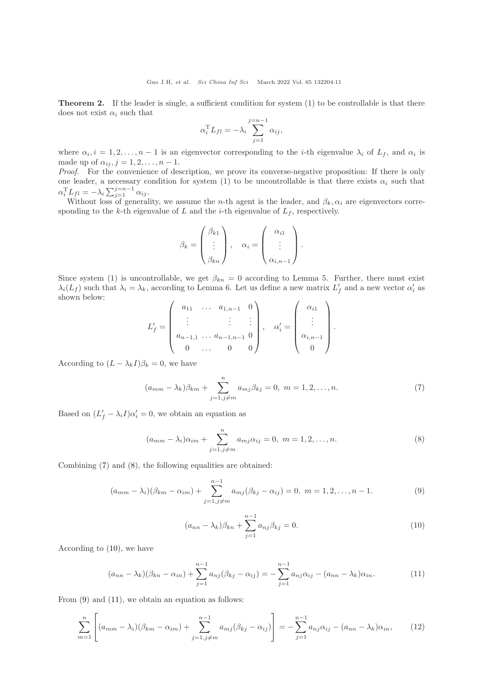**Theorem 2.** If the leader is single, a sufficient condition for system  $(1)$  to be controllable is that there does not exist  $\alpha_i$  such that

$$
\alpha_i^{\mathrm{T}} L_{fl} = -\lambda_i \sum_{j=1}^{j=n-1} \alpha_{ij},
$$

where  $\alpha_i, i = 1, 2, \ldots, n-1$  is an eigenvector corresponding to the *i*-th eigenvalue  $\lambda_i$  of  $L_f$ , and  $\alpha_i$  is made up of  $\alpha_{ij}, j = 1, 2, \ldots, n - 1$ .

Proof. For the convenience of description, we prove its converse-negative proposition: If there is only one leader, a necessary condition for system (1) to be uncontrollable is that there exists  $\alpha_i$  such that  $\alpha_i^{\mathrm{T}} L_{fl} = -\lambda_i \sum_{j=1}^{j=n-1} \alpha_{ij}.$ 

Without loss of generality, we assume the *n*-th agent is the leader, and  $\beta_k, \alpha_i$  are eigenvectors corresponding to the k-th eigenvalue of L and the *i*-th eigenvalue of  $L_f$ , respectively.

$$
\beta_k = \begin{pmatrix} \beta_{k1} \\ \vdots \\ \beta_{kn} \end{pmatrix}, \quad \alpha_i = \begin{pmatrix} \alpha_{i1} \\ \vdots \\ \alpha_{i,n-1} \end{pmatrix}.
$$

Since system (1) is uncontrollable, we get  $\beta_{kn} = 0$  according to Lemma 5. Further, there must exist  $\lambda_i(L_f)$  such that  $\lambda_i = \lambda_k$ , according to Lemma 6. Let us define a new matrix  $L'_f$  and a new vector  $\alpha'_i$  as shown below:

$$
L'_{f} = \begin{pmatrix} a_{11} & \cdots & a_{1,n-1} & 0 \\ \vdots & & \vdots & \vdots \\ a_{n-1,1} & \cdots & a_{n-1,n-1} & 0 \\ 0 & \cdots & 0 & 0 \end{pmatrix}, \quad \alpha'_{i} = \begin{pmatrix} \alpha_{i1} \\ \vdots \\ \alpha_{i,n-1} \\ 0 \end{pmatrix}.
$$

According to  $(L - \lambda_k I)\beta_k = 0$ , we have

<span id="page-10-0"></span>
$$
(a_{mm} - \lambda_k)\beta_{km} + \sum_{j=1, j \neq m}^{n} a_{mj}\beta_{kj} = 0, \ m = 1, 2, ..., n.
$$
 (7)

Based on  $(L'_f - \lambda_i I)\alpha'_i = 0$ , we obtain an equation as

<span id="page-10-1"></span>
$$
(a_{mm} - \lambda_i)\alpha_{im} + \sum_{j=1, j \neq m}^{n} a_{mj}\alpha_{ij} = 0, \ m = 1, 2, ..., n.
$$
 (8)

Combining [\(7\)](#page-10-0) and [\(8\)](#page-10-1), the following equalities are obtained:

<span id="page-10-3"></span>
$$
(a_{mm} - \lambda_i)(\beta_{km} - \alpha_{im}) + \sum_{j=1, j \neq m}^{n-1} a_{mj}(\beta_{kj} - \alpha_{ij}) = 0, \ m = 1, 2, ..., n-1.
$$
 (9)

<span id="page-10-2"></span>
$$
(a_{nn} - \lambda_k)\beta_{kn} + \sum_{j=1}^{n-1} a_{nj}\beta_{kj} = 0.
$$
 (10)

According to [\(10\)](#page-10-2), we have

<span id="page-10-4"></span>
$$
(a_{nn} - \lambda_k)(\beta_{kn} - \alpha_{in}) + \sum_{j=1}^{n-1} a_{nj}(\beta_{kj} - \alpha_{ij}) = -\sum_{j=1}^{n-1} a_{nj}\alpha_{ij} - (a_{nn} - \lambda_k)\alpha_{in}.
$$
 (11)

From  $(9)$  and  $(11)$ , we obtain an equation as follows:

<span id="page-10-5"></span>
$$
\sum_{m=1}^{n} \left[ (a_{mm} - \lambda_i)(\beta_{km} - \alpha_{im}) + \sum_{j=1, j \neq m}^{n-1} a_{mj}(\beta_{kj} - \alpha_{ij}) \right] = -\sum_{j=1}^{n-1} a_{nj} \alpha_{ij} - (a_{nn} - \lambda_k) \alpha_{in}, \qquad (12)
$$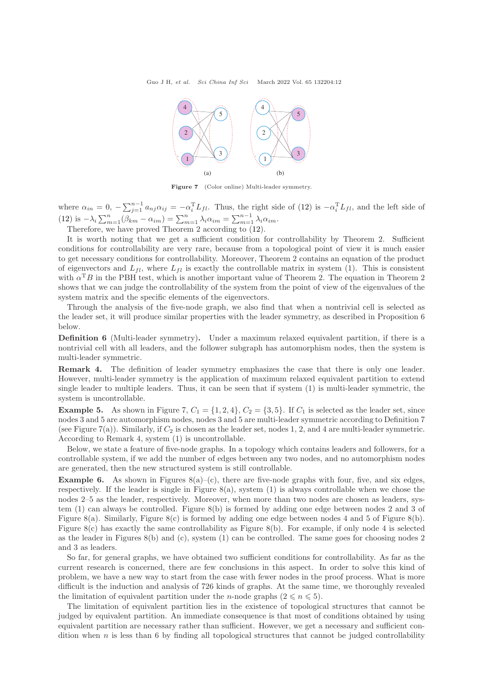

Figure 7 (Color online) Multi-leader symmetry.

where  $\alpha_{in} = 0, -\sum_{j=1}^{n-1} a_{nj}\alpha_{ij} = -\alpha_i^{\mathrm{T}}L_{fl}$ . Thus, the right side of [\(12\)](#page-10-5) is  $-\alpha_i^{\mathrm{T}}L_{fl}$ , and the left side of [\(12\)](#page-10-5) is  $-\lambda_i \sum_{m=1}^n (\beta_{km} - \alpha_{im}) = \sum_{m=1}^n \lambda_i \alpha_{im} = \sum_{m=1}^{n-1} \lambda_i \alpha_{im}$ .

Therefore, we have proved Theorem 2 according to [\(12\)](#page-10-5).

It is worth noting that we get a sufficient condition for controllability by Theorem 2. Sufficient conditions for controllability are very rare, because from a topological point of view it is much easier to get necessary conditions for controllability. Moreover, Theorem 2 contains an equation of the product of eigenvectors and  $L_{fl}$ , where  $L_{fl}$  is exactly the controllable matrix in system (1). This is consistent with  $\alpha^T B$  in the PBH test, which is another important value of Theorem 2. The equation in Theorem 2 shows that we can judge the controllability of the system from the point of view of the eigenvalues of the system matrix and the specific elements of the eigenvectors.

Through the analysis of the five-node graph, we also find that when a nontrivial cell is selected as the leader set, it will produce similar properties with the leader symmetry, as described in Proposition 6 below.

Definition 6 (Multi-leader symmetry). Under a maximum relaxed equivalent partition, if there is a nontrivial cell with all leaders, and the follower subgraph has automorphism nodes, then the system is multi-leader symmetric.

Remark 4. The definition of leader symmetry emphasizes the case that there is only one leader. However, multi-leader symmetry is the application of maximum relaxed equivalent partition to extend single leader to multiple leaders. Thus, it can be seen that if system (1) is multi-leader symmetric, the system is uncontrollable.

**Example 5.** As shown in Figure 7,  $C_1 = \{1, 2, 4\}$ ,  $C_2 = \{3, 5\}$ . If  $C_1$  is selected as the leader set, since nodes 3 and 5 are automorphism nodes, nodes 3 and 5 are multi-leader symmetric according to Definition 7 (see Figure 7(a)). Similarly, if  $C_2$  is chosen as the leader set, nodes 1, 2, and 4 are multi-leader symmetric. According to Remark 4, system (1) is uncontrollable.

Below, we state a feature of five-node graphs. In a topology which contains leaders and followers, for a controllable system, if we add the number of edges between any two nodes, and no automorphism nodes are generated, then the new structured system is still controllable.

**Example 6.** As shown in Figures  $8(a)$ –(c), there are five-node graphs with four, five, and six edges, respectively. If the leader is single in Figure  $8(a)$ , system (1) is always controllable when we chose the nodes 2–5 as the leader, respectively. Moreover, when more than two nodes are chosen as leaders, system (1) can always be controlled. Figure 8(b) is formed by adding one edge between nodes 2 and 3 of Figure 8(a). Similarly, Figure 8(c) is formed by adding one edge between nodes 4 and 5 of Figure 8(b). Figure 8(c) has exactly the same controllability as Figure 8(b). For example, if only node 4 is selected as the leader in Figures 8(b) and (c), system (1) can be controlled. The same goes for choosing nodes 2 and 3 as leaders.

So far, for general graphs, we have obtained two sufficient conditions for controllability. As far as the current research is concerned, there are few conclusions in this aspect. In order to solve this kind of problem, we have a new way to start from the case with fewer nodes in the proof process. What is more difficult is the induction and analysis of 726 kinds of graphs. At the same time, we thoroughly revealed the limitation of equivalent partition under the *n*-node graphs  $(2 \le n \le 5)$ .

The limitation of equivalent partition lies in the existence of topological structures that cannot be judged by equivalent partition. An immediate consequence is that most of conditions obtained by using equivalent partition are necessary rather than sufficient. However, we get a necessary and sufficient condition when  $n$  is less than 6 by finding all topological structures that cannot be judged controllability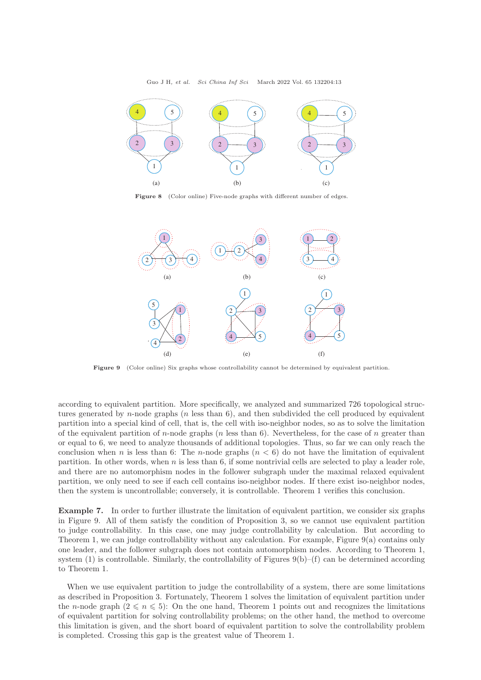

Figure 8 (Color online) Five-node graphs with different number of edges.



Figure 9 (Color online) Six graphs whose controllability cannot be determined by equivalent partition.

according to equivalent partition. More specifically, we analyzed and summarized 726 topological structures generated by n-node graphs  $(n \text{ less than } 6)$ , and then subdivided the cell produced by equivalent partition into a special kind of cell, that is, the cell with iso-neighbor nodes, so as to solve the limitation of the equivalent partition of n-node graphs (n less than 6). Nevertheless, for the case of n greater than or equal to 6, we need to analyze thousands of additional topologies. Thus, so far we can only reach the conclusion when n is less than 6: The n-node graphs  $(n < 6)$  do not have the limitation of equivalent partition. In other words, when n is less than 6, if some nontrivial cells are selected to play a leader role, and there are no automorphism nodes in the follower subgraph under the maximal relaxed equivalent partition, we only need to see if each cell contains iso-neighbor nodes. If there exist iso-neighbor nodes, then the system is uncontrollable; conversely, it is controllable. Theorem 1 verifies this conclusion.

Example 7. In order to further illustrate the limitation of equivalent partition, we consider six graphs in Figure 9. All of them satisfy the condition of Proposition 3, so we cannot use equivalent partition to judge controllability. In this case, one may judge controllability by calculation. But according to Theorem 1, we can judge controllability without any calculation. For example, Figure 9(a) contains only one leader, and the follower subgraph does not contain automorphism nodes. According to Theorem 1, system  $(1)$  is controllable. Similarly, the controllability of Figures  $9(b)$ – $(f)$  can be determined according to Theorem 1.

When we use equivalent partition to judge the controllability of a system, there are some limitations as described in Proposition 3. Fortunately, Theorem 1 solves the limitation of equivalent partition under the n-node graph  $(2 \le n \le 5)$ : On the one hand, Theorem 1 points out and recognizes the limitations of equivalent partition for solving controllability problems; on the other hand, the method to overcome this limitation is given, and the short board of equivalent partition to solve the controllability problem is completed. Crossing this gap is the greatest value of Theorem 1.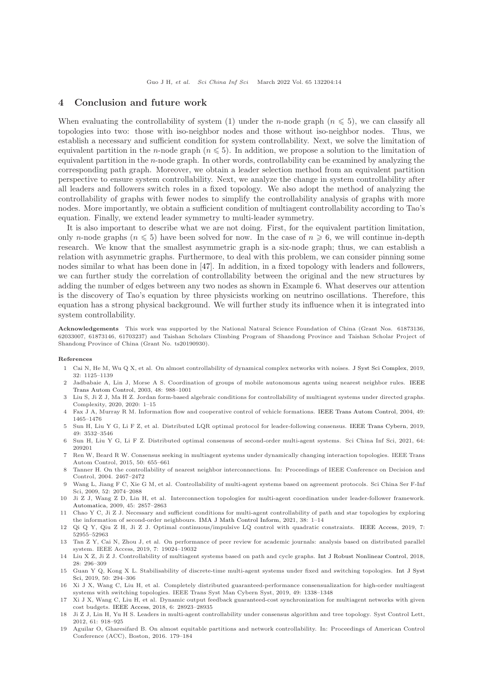### 4 Conclusion and future work

When evaluating the controllability of system (1) under the *n*-node graph ( $n \leq 5$ ), we can classify all topologies into two: those with iso-neighbor nodes and those without iso-neighbor nodes. Thus, we establish a necessary and sufficient condition for system controllability. Next, we solve the limitation of equivalent partition in the *n*-node graph ( $n \leq 5$ ). In addition, we propose a solution to the limitation of equivalent partition in the  $n$ -node graph. In other words, controllability can be examined by analyzing the corresponding path graph. Moreover, we obtain a leader selection method from an equivalent partition perspective to ensure system controllability. Next, we analyze the change in system controllability after all leaders and followers switch roles in a fixed topology. We also adopt the method of analyzing the controllability of graphs with fewer nodes to simplify the controllability analysis of graphs with more nodes. More importantly, we obtain a sufficient condition of multiagent controllability according to Tao's equation. Finally, we extend leader symmetry to multi-leader symmetry.

It is also important to describe what we are not doing. First, for the equivalent partition limitation, only n-node graphs ( $n \leq 5$ ) have been solved for now. In the case of  $n \geq 6$ , we will continue in-depth research. We know that the smallest asymmetric graph is a six-node graph; thus, we can establish a relation with asymmetric graphs. Furthermore, to deal with this problem, we can consider pinning some nodes similar to what has been done in [\[47\]](#page-14-14). In addition, in a fixed topology with leaders and followers, we can further study the correlation of controllability between the original and the new structures by adding the number of edges between any two nodes as shown in Example 6. What deserves our attention is the discovery of Tao's equation by three physicists working on neutrino oscillations. Therefore, this equation has a strong physical background. We will further study its influence when it is integrated into system controllability.

Acknowledgements This work was supported by the National Natural Science Foundation of China (Grant Nos. 61873136, 62033007, 61873146, 61703237) and Taishan Scholars Climbing Program of Shandong Province and Taishan Scholar Project of Shandong Province of China (Grant No. ts20190930).

#### <span id="page-13-0"></span>References

- 1 Cai N, He M, Wu Q X, et al. On almost controllability of dynamical complex networks with noises. [J Syst Sci Complex,](https://doi.org/10.1007/s11424-017-6273-7) 2019, 32: 1125–1139
- 2 Jadbabaie A, Lin J, [Morse A S. Coordination of groups of mobile autonomous agents using nearest neighbor rules.](https://doi.org/10.1109/TAC.2003.812781) IEEE Trans Autom Control, 2003, 48: 988–1001
- 3 Liu S, Ji Z J, Ma H Z. Jordan form-based algebraic conditions for controllability of multiagent systems under directed graphs. Complexity, 2020, 2020: 1–15
- 4 Fax J A, Murray R M. Information flow and cooperative control of vehicle formations. [IEEE Trans Autom Control,](https://doi.org/10.1109/TAC.2004.834433) 2004, 49: 1465–1476
- 5 Sun H, Liu Y G, Li F Z, et al. Distributed LQR optimal protocol for leader-following consensus. [IEEE Trans Cybern,](https://doi.org/10.1109/TCYB.2018.2850760) 2019, 49: 3532–3546
- 6 Sun H, Liu Y G, Li F Z. Distributed optimal consensus of second-order multi-agent systems. Sci China Inf Sci, 2021, 64: 209201
- 7 Ren W, Beard R W. Consensus seeking in multiagent systems under dynamically changing interaction topologies. IEEE Trans Autom Control, 2015, 50: 655–661
- <span id="page-13-3"></span>8 Tanner H. On the controllability of nearest neighbor interconnections. In: Proceedings of IEEE Conference on Decision and Control, 2004. 2467–2472
- <span id="page-13-5"></span>9 Wang L, Jiang F C, Xie G M, et al. Controllability of multi-agent systems based on agreement protocols. Sci China Ser F-Inf Sci, 2009, 52: 2074–2088
- <span id="page-13-6"></span>10 Ji Z J, Wang Z D, Lin H, et al. Interconnection topologies for multi-agent coordination under leader-follower framework. [Automatica,](https://doi.org/10.1016/j.automatica.2009.09.002) 2009, 45: 2857–2863
- <span id="page-13-4"></span>11 Chao Y C, Ji Z J. Necessary and sufficient conditions for multi-agent controllability of path and star topologies by exploring the information of second-order neighbours. [IMA J Math Control Inform,](https://doi.org/10.1093/imamci/dnw013) 2021, 38: 1–14
- 12 Qi Q Y, Qiu Z H, Ji Z J. Optimal continuous/impulsive LQ control with quadratic constraints. [IEEE Access,](https://doi.org/10.1109/ACCESS.2019.2912653) 2019, 7: 52955–52963
- 13 Tan Z Y, Cai N, Zhou J, et al. On performance of peer review for academic journals: analysis based on distributed parallel system. IEEE Access, 2019, 7: 19024–19032
- 14 Liu X Z, Ji Z J. Controllability of multiagent systems based on path and cycle graphs. [Int J Robust Nonlinear Control,](https://doi.org/10.1002/rnc.3870) 2018, 28: 296–309
- 15 Guan Y Q, Kong X L. Stabilisability of discrete-time multi-agent systems under fixed and switching topologies. Int J Syst Sci, 2019, 50: 294–306
- <span id="page-13-1"></span>16 Xi J X, Wang C, Liu H, et al. Completely distributed guaranteed-performance consensualization for high-order multiagent systems with switching topologies. IEEE Trans Syst Man Cybern Syst, 2019, 49: 1338–1348
- <span id="page-13-2"></span>17 Xi J X, Wang C, Liu H, et al. Dynamic output feedback guaranteed-cost synchronization for multiagent networks with given cost budgets. [IEEE Access,](https://doi.org/10.1109/ACCESS.2018.2819989) 2018, 6: 28923–28935
- 18 Ji Z J, Lin H, Yu H S. Leaders in multi-agent controllability under consensus algorithm and tree topology. Syst Control Lett, 2012, 61: 918–925
- 19 Aguilar O, Gharesifard B. On almost equitable partitions and network controllability. In: Proceedings of American Control Conference (ACC), Boston, 2016. 179–184